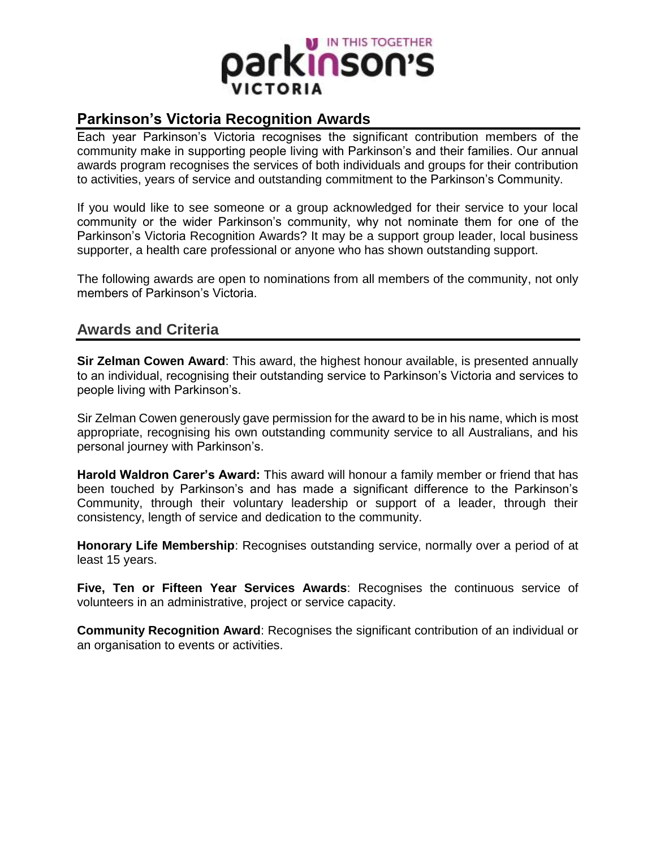

## **Parkinson's Victoria Recognition Awards**

Each year Parkinson's Victoria recognises the significant contribution members of the community make in supporting people living with Parkinson's and their families. Our annual awards program recognises the services of both individuals and groups for their contribution to activities, years of service and outstanding commitment to the Parkinson's Community.

If you would like to see someone or a group acknowledged for their service to your local community or the wider Parkinson's community, why not nominate them for one of the Parkinson's Victoria Recognition Awards? It may be a support group leader, local business supporter, a health care professional or anyone who has shown outstanding support.

The following awards are open to nominations from all members of the community, not only members of Parkinson's Victoria.

## **Awards and Criteria**

**Sir Zelman Cowen Award**: This award, the highest honour available, is presented annually to an individual, recognising their outstanding service to Parkinson's Victoria and services to people living with Parkinson's.

Sir Zelman Cowen generously gave permission for the award to be in his name, which is most appropriate, recognising his own outstanding community service to all Australians, and his personal journey with Parkinson's.

**Harold Waldron Carer's Award:** This award will honour a family member or friend that has been touched by Parkinson's and has made a significant difference to the Parkinson's Community, through their voluntary leadership or support of a leader, through their consistency, length of service and dedication to the community.

**Honorary Life Membership**: Recognises outstanding service, normally over a period of at least 15 years.

**Five, Ten or Fifteen Year Services Awards**: Recognises the continuous service of volunteers in an administrative, project or service capacity.

**Community Recognition Award**: Recognises the significant contribution of an individual or an organisation to events or activities.